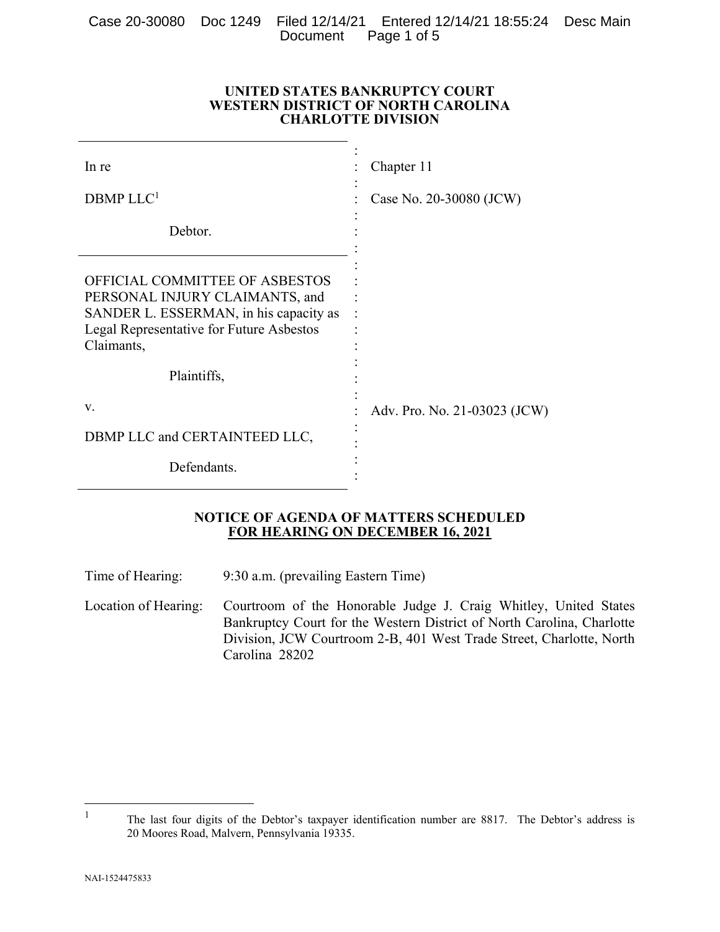Case 20-30080 Doc 1249 Filed 12/14/21 Entered 12/14/21 18:55:24 Desc Main Document Page 1 of 5

| UNITED STATES BANKRUPTCY COURT     |
|------------------------------------|
| WESTERN DISTRICT OF NORTH CAROLINA |
| <b>CHARLOTTE DIVISION</b>          |

| In re                                                                                                                                                                | Chapter 11                   |
|----------------------------------------------------------------------------------------------------------------------------------------------------------------------|------------------------------|
| DBMP LLC <sup>1</sup>                                                                                                                                                | Case No. 20-30080 (JCW)      |
| Debtor.                                                                                                                                                              |                              |
| OFFICIAL COMMITTEE OF ASBESTOS<br>PERSONAL INJURY CLAIMANTS, and<br>SANDER L. ESSERMAN, in his capacity as<br>Legal Representative for Future Asbestos<br>Claimants, |                              |
| Plaintiffs,                                                                                                                                                          |                              |
| v.                                                                                                                                                                   | Adv. Pro. No. 21-03023 (JCW) |
| DBMP LLC and CERTAINTEED LLC,                                                                                                                                        |                              |
| Defendants.                                                                                                                                                          |                              |

#### **NOTICE OF AGENDA OF MATTERS SCHEDULED FOR HEARING ON DECEMBER 16, 2021**

Time of Hearing: 9:30 a.m. (prevailing Eastern Time)

Location of Hearing: Courtroom of the Honorable Judge J. Craig Whitley, United States Bankruptcy Court for the Western District of North Carolina, Charlotte Division, JCW Courtroom 2-B, 401 West Trade Street, Charlotte, North Carolina 28202

 $\overline{a}$ 

<sup>1</sup> The last four digits of the Debtor's taxpayer identification number are 8817. The Debtor's address is 20 Moores Road, Malvern, Pennsylvania 19335.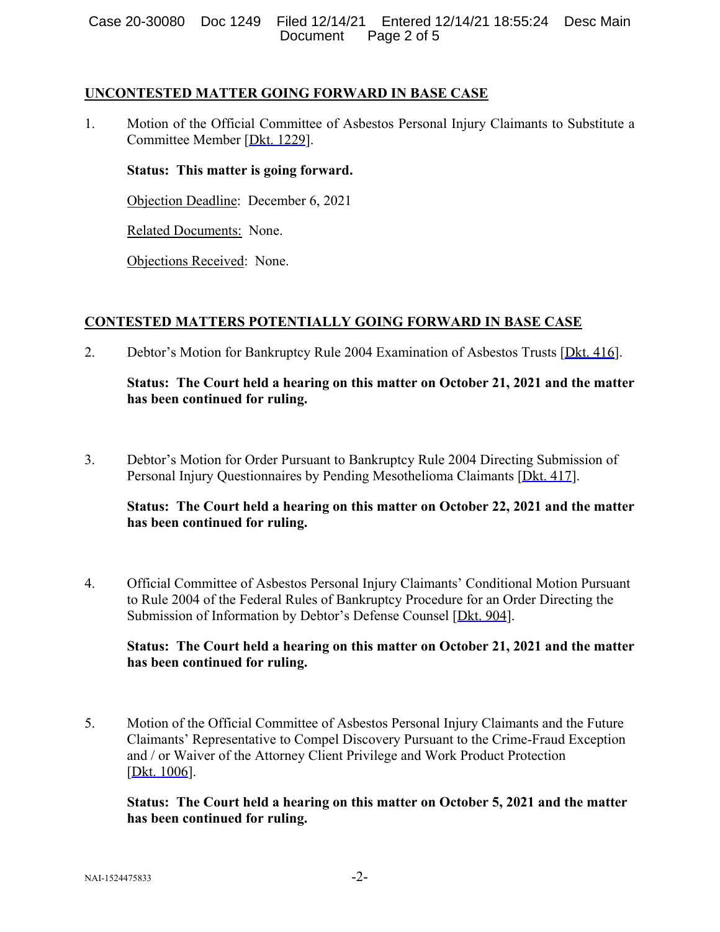### **UNCONTESTED MATTER GOING FORWARD IN BASE CASE**

1. Motion of the Official Committee of Asbestos Personal Injury Claimants to Substitute a Committee Member [Dkt. 1229].

### **Status: This matter is going forward.**

Objection Deadline: December 6, 2021

Related Documents: None.

Objections Received: None.

# **CONTESTED MATTERS POTENTIALLY GOING FORWARD IN BASE CASE**

2. Debtor's Motion for Bankruptcy Rule 2004 Examination of Asbestos Trusts [Dkt. 416].

# **Status: The Court held a hearing on this matter on October 21, 2021 and the matter has been continued for ruling.**

3. Debtor's Motion for Order Pursuant to Bankruptcy Rule 2004 Directing Submission of Personal Injury Questionnaires by Pending Mesothelioma Claimants [Dkt. 417].

### **Status: The Court held a hearing on this matter on October 22, 2021 and the matter has been continued for ruling.**

4. Official Committee of Asbestos Personal Injury Claimants' Conditional Motion Pursuant to Rule 2004 of the Federal Rules of Bankruptcy Procedure for an Order Directing the Submission of Information by Debtor's Defense Counsel [Dkt. 904].

# **Status: The Court held a hearing on this matter on October 21, 2021 and the matter has been continued for ruling.**

5. Motion of the Official Committee of Asbestos Personal Injury Claimants and the Future Claimants' Representative to Compel Discovery Pursuant to the Crime-Fraud Exception and / or Waiver of the Attorney Client Privilege and Work Product Protection [Dkt. 1006].

### **Status: The Court held a hearing on this matter on October 5, 2021 and the matter has been continued for ruling.**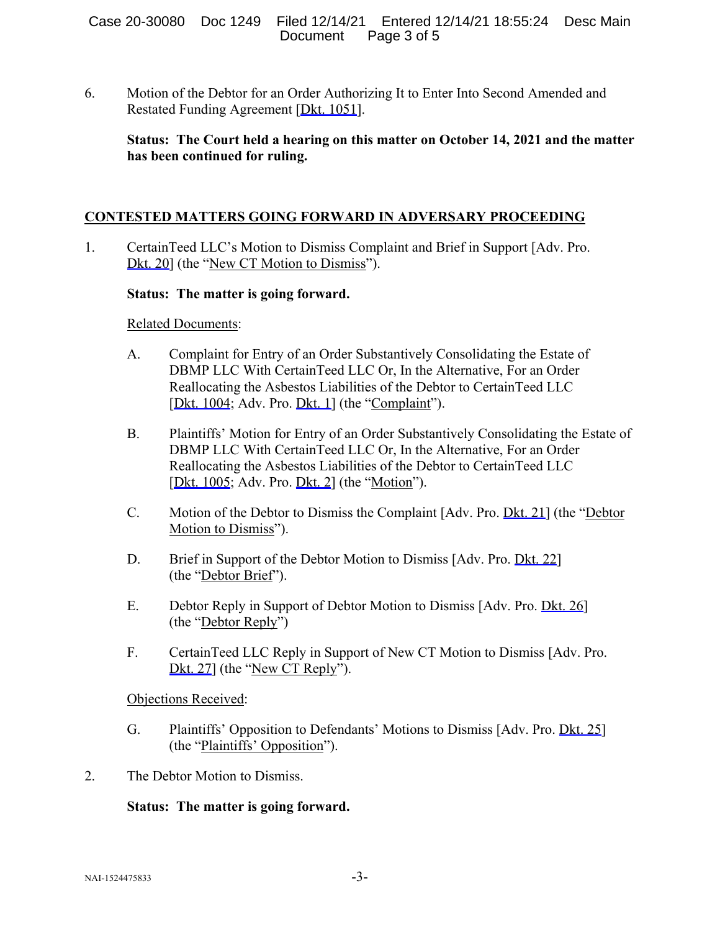6. Motion of the Debtor for an Order Authorizing It to Enter Into Second Amended and Restated Funding Agreement [Dkt. 1051].

# **Status: The Court held a hearing on this matter on October 14, 2021 and the matter has been continued for ruling.**

# **CONTESTED MATTERS GOING FORWARD IN ADVERSARY PROCEEDING**

1. CertainTeed LLC's Motion to Dismiss Complaint and Brief in Support [Adv. Pro. Dkt. 20] (the "New CT Motion to Dismiss").

#### **Status: The matter is going forward.**

Related Documents:

- A. Complaint for Entry of an Order Substantively Consolidating the Estate of DBMP LLC With CertainTeed LLC Or, In the Alternative, For an Order Reallocating the Asbestos Liabilities of the Debtor to CertainTeed LLC [Dkt. 1004; Adv. Pro. Dkt. 1] (the "Complaint").
- B. Plaintiffs' Motion for Entry of an Order Substantively Consolidating the Estate of DBMP LLC With CertainTeed LLC Or, In the Alternative, For an Order Reallocating the Asbestos Liabilities of the Debtor to CertainTeed LLC [Dkt. 1005; Adv. Pro. Dkt. 2] (the "Motion").
- C. Motion of the Debtor to Dismiss the Complaint [Adv. Pro. Dkt. 21] (the "Debtor Motion to Dismiss").
- D. Brief in Support of the Debtor Motion to Dismiss [Adv. Pro. Dkt. 22] (the "Debtor Brief").
- E. Debtor Reply in Support of Debtor Motion to Dismiss [Adv. Pro. Dkt. 26] (the "Debtor Reply")
- F. CertainTeed LLC Reply in Support of New CT Motion to Dismiss [Adv. Pro. Dkt. 27] (the "New CT Reply").

Objections Received:

- G. Plaintiffs' Opposition to Defendants' Motions to Dismiss [Adv. Pro. Dkt. 25] (the "Plaintiffs' Opposition").
- 2. The Debtor Motion to Dismiss.

#### **Status: The matter is going forward.**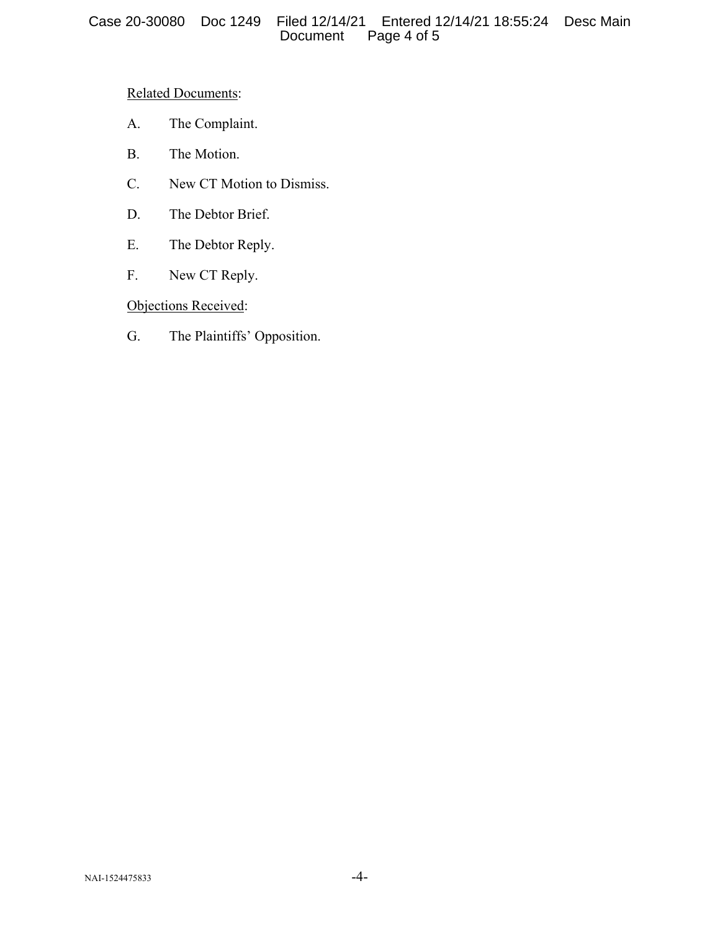# Related Documents:

- A. The Complaint.
- B. The Motion.
- C. New CT Motion to Dismiss.
- D. The Debtor Brief.
- E. The Debtor Reply.
- F. New CT Reply.

# Objections Received:

G. The Plaintiffs' Opposition.